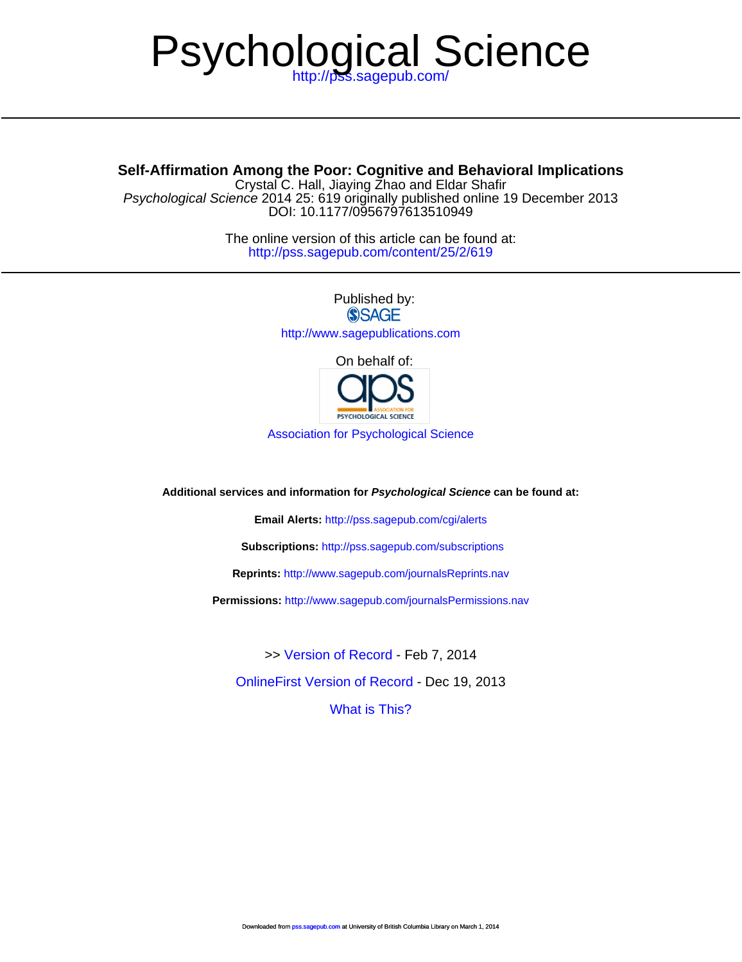# Psychol[ogical Sci](http://pss.sagepub.com/cgi/alerts)ence

## **Self-Affirmation Amon[g the Poor: Cognitive and Behavio](http://www.sagepub.com/journalsReprints.nav)ral Implications**

D[OI: 10.1177/0956797613510949](http://www.sagepub.com/journalsPermissions.nav) Psychological Science 2014 25: 619 originally published online 19 December 2013 Crystal C. Hall, Jiaying Zhao and Eldar Shafir

> <http://pss.sagepub.com/content/25/2/619> The online version of this article can be found at:

> > Published by:<br>
> > SAGE <http://www.sagepublications.com> [On behalf of:](http://pss.sagepub.com/content/early/2013/12/19/0956797613510949.full.pdf)



[Association for Psychological Science](http://www.psychologicalscience.org/)

**Additional services and information for Psychological Science can be found at:**

**Email Alerts:** <http://pss.sagepub.com/cgi/alerts>

**Subscriptions:** <http://pss.sagepub.com/subscriptions>

**Reprints:** <http://www.sagepub.com/journalsReprints.nav>

**Permissions:** <http://www.sagepub.com/journalsPermissions.nav>

[OnlineFirst Version of Record -](http://pss.sagepub.com/content/early/2013/12/19/0956797613510949.full.pdf) Dec 19, 2013 >> [Version of Record -](http://pss.sagepub.com/content/25/2/619.full.pdf) Feb 7, 2014

[What is This?](http://online.sagepub.com/site/sphelp/vorhelp.xhtml)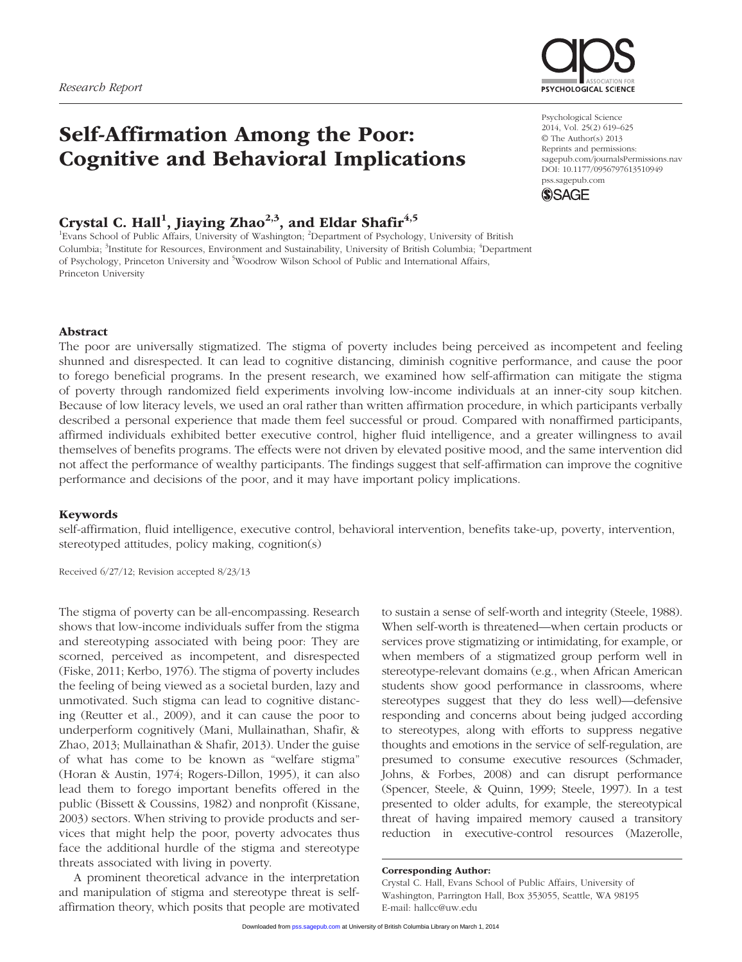

# Self-Affirmation Among the Poor: Cognitive and Behavioral Implications

### Crystal C. Hall<sup>1</sup>, Jiaying Zhao<sup>2,3</sup>, and Eldar Shafir<sup>4,5</sup>

<sup>1</sup>Evans School of Public Affairs, University of Washington; <sup>2</sup>Department of Psychology, University of British Columbia; <sup>3</sup>Institute for Resources, Environment and Sustainability, University of British Columbia; <sup>4</sup>Department of Psychology, Princeton University and <sup>5</sup>Woodrow Wilson School of Public and International Affairs, Princeton University

Psychological Science 2014, Vol. 25(2) 619–625 © The Author(s) 2013 Reprints and permissions: sagepub.com/journalsPermissions.nav DOI: 10.1177/0956797613510949 pss.sagepub.com



#### Abstract

The poor are universally stigmatized. The stigma of poverty includes being perceived as incompetent and feeling shunned and disrespected. It can lead to cognitive distancing, diminish cognitive performance, and cause the poor to forego beneficial programs. In the present research, we examined how self-affirmation can mitigate the stigma of poverty through randomized field experiments involving low-income individuals at an inner-city soup kitchen. Because of low literacy levels, we used an oral rather than written affirmation procedure, in which participants verbally described a personal experience that made them feel successful or proud. Compared with nonaffirmed participants, affirmed individuals exhibited better executive control, higher fluid intelligence, and a greater willingness to avail themselves of benefits programs. The effects were not driven by elevated positive mood, and the same intervention did not affect the performance of wealthy participants. The findings suggest that self-affirmation can improve the cognitive performance and decisions of the poor, and it may have important policy implications.

#### Keywords

self-affirmation, fluid intelligence, executive control, behavioral intervention, benefits take-up, poverty, intervention, stereotyped attitudes, policy making, cognition(s)

Received 6/27/12; Revision accepted 8/23/13

The stigma of poverty can be all-encompassing. Research shows that low-income individuals suffer from the stigma and stereotyping associated with being poor: They are scorned, perceived as incompetent, and disrespected (Fiske, 2011; Kerbo, 1976). The stigma of poverty includes the feeling of being viewed as a societal burden, lazy and unmotivated. Such stigma can lead to cognitive distancing (Reutter et al., 2009), and it can cause the poor to underperform cognitively (Mani, Mullainathan, Shafir, & Zhao, 2013; Mullainathan & Shafir, 2013). Under the guise of what has come to be known as "welfare stigma" (Horan & Austin, 1974; Rogers-Dillon, 1995), it can also lead them to forego important benefits offered in the public (Bissett & Coussins, 1982) and nonprofit (Kissane, 2003) sectors. When striving to provide products and services that might help the poor, poverty advocates thus face the additional hurdle of the stigma and stereotype threats associated with living in poverty.

A prominent theoretical advance in the interpretation and manipulation of stigma and stereotype threat is selfaffirmation theory, which posits that people are motivated to sustain a sense of self-worth and integrity (Steele, 1988). When self-worth is threatened—when certain products or services prove stigmatizing or intimidating, for example, or when members of a stigmatized group perform well in stereotype-relevant domains (e.g., when African American students show good performance in classrooms, where stereotypes suggest that they do less well)—defensive responding and concerns about being judged according to stereotypes, along with efforts to suppress negative thoughts and emotions in the service of self-regulation, are presumed to consume executive resources (Schmader, Johns, & Forbes, 2008) and can disrupt performance (Spencer, Steele, & Quinn, 1999; Steele, 1997). In a test presented to older adults, for example, the stereotypical threat of having impaired memory caused a transitory reduction in executive-control resources (Mazerolle,

#### Corresponding Author:

[Crystal C. H](http://pss.sagepub.com/)all, Evans School of Public Affairs, University of Washington, Parrington Hall, Box 353055, Seattle, WA 98195 E-mail: hallcc@uw.edu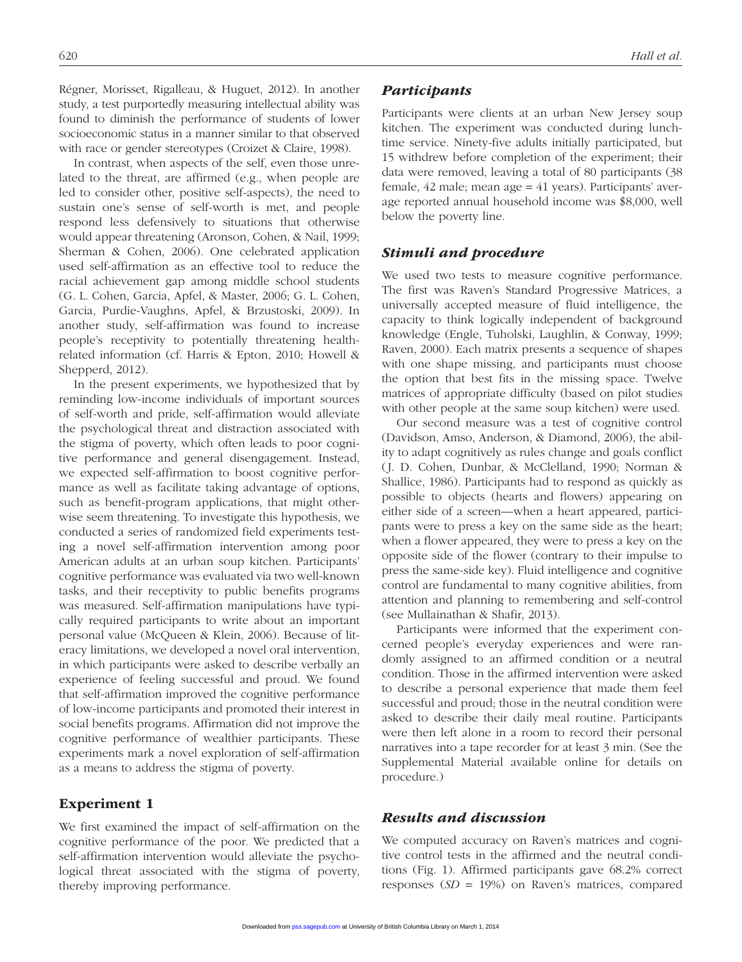Régner, Morisset, Rigalleau, & Huguet, 2012). In another study, a test purportedly measuring intellectual ability was found to diminish the performance of students of lower socioeconomic status in a manner similar to that observed with race or gender stereotypes (Croizet & Claire, 1998).

In contrast, when aspects of the self, even those unrelated to the threat, are affirmed (e.g., when people are led to consider other, positive self-aspects), the need to sustain one's sense of self-worth is met, and people respond less defensively to situations that otherwise would appear threatening (Aronson, Cohen, & Nail, 1999; Sherman & Cohen, 2006). One celebrated application used self-affirmation as an effective tool to reduce the racial achievement gap among middle school students (G. L. Cohen, Garcia, Apfel, & Master, 2006; G. L. Cohen, Garcia, Purdie-Vaughns, Apfel, & Brzustoski, 2009). In another study, self-affirmation was found to increase people's receptivity to potentially threatening healthrelated information (cf. Harris & Epton, 2010; Howell & Shepperd, 2012).

In the present experiments, we hypothesized that by reminding low-income individuals of important sources of self-worth and pride, self-affirmation would alleviate the psychological threat and distraction associated with the stigma of poverty, which often leads to poor cognitive performance and general disengagement. Instead, we expected self-affirmation to boost cognitive performance as well as facilitate taking advantage of options, such as benefit-program applications, that might otherwise seem threatening. To investigate this hypothesis, we conducted a series of randomized field experiments testing a novel self-affirmation intervention among poor American adults at an urban soup kitchen. Participants' cognitive performance was evaluated via two well-known tasks, and their receptivity to public benefits programs was measured. Self-affirmation manipulations have typically required participants to write about an important personal value (McQueen & Klein, 2006). Because of literacy limitations, we developed a novel oral intervention, in which participants were asked to describe verbally an experience of feeling successful and proud. We found that self-affirmation improved the cognitive performance of low-income participants and promoted their interest in social benefits programs. Affirmation did not improve the cognitive performance of wealthier participants. These experiments mark a novel exploration of self-affirmation as a means to address the stigma of poverty.

#### Experiment 1

We first examined the impact of self-affirmation on the cognitive performance of the poor. We predicted that a self-affirmation intervention would alleviate the psychological threat associated with the stigma of poverty, thereby improving performance.

#### *Participants*

Participants were clients at an urban New Jersey soup kitchen. The experiment was conducted during lunchtime service. Ninety-five adults initially participated, but 15 withdrew before completion of the experiment; their data were removed, leaving a total of 80 participants (38 female, 42 male; mean age = 41 years). Participants' average reported annual household income was \$8,000, well below the poverty line.

#### *Stimuli and procedure*

We used two tests to measure cognitive performance. The first was Raven's Standard Progressive Matrices, a universally accepted measure of fluid intelligence, the capacity to think logically independent of background knowledge (Engle, Tuholski, Laughlin, & Conway, 1999; Raven, 2000). Each matrix presents a sequence of shapes with one shape missing, and participants must choose the option that best fits in the missing space. Twelve matrices of appropriate difficulty (based on pilot studies with other people at the same soup kitchen) were used.

Our second measure was a test of cognitive control (Davidson, Amso, Anderson, & Diamond, 2006), the ability to adapt cognitively as rules change and goals conflict (J. D. Cohen, Dunbar, & McClelland, 1990; Norman & Shallice, 1986). Participants had to respond as quickly as possible to objects (hearts and flowers) appearing on either side of a screen—when a heart appeared, participants were to press a key on the same side as the heart; when a flower appeared, they were to press a key on the opposite side of the flower (contrary to their impulse to press the same-side key). Fluid intelligence and cognitive control are fundamental to many cognitive abilities, from attention and planning to remembering and self-control (see Mullainathan & Shafir, 2013).

Participants were informed that the experiment concerned people's everyday experiences and were randomly assigned to an affirmed condition or a neutral condition. Those in the affirmed intervention were asked to describe a personal experience that made them feel successful and proud; those in the neutral condition were asked to describe their daily meal routine. Participants were then left alone in a room to record their personal narratives into a tape recorder for at least 3 min. (See the Supplemental Material available online for details on procedure.)

#### *Results and discussion*

We computed accuracy on Raven's matrices and cognitive control tests in the affirmed and the neutral conditions (Fig. 1). Affirmed participants gave 68.2% correct [responses](http://pss.sagepub.com/) (*SD* = 19%) on Raven's matrices, compared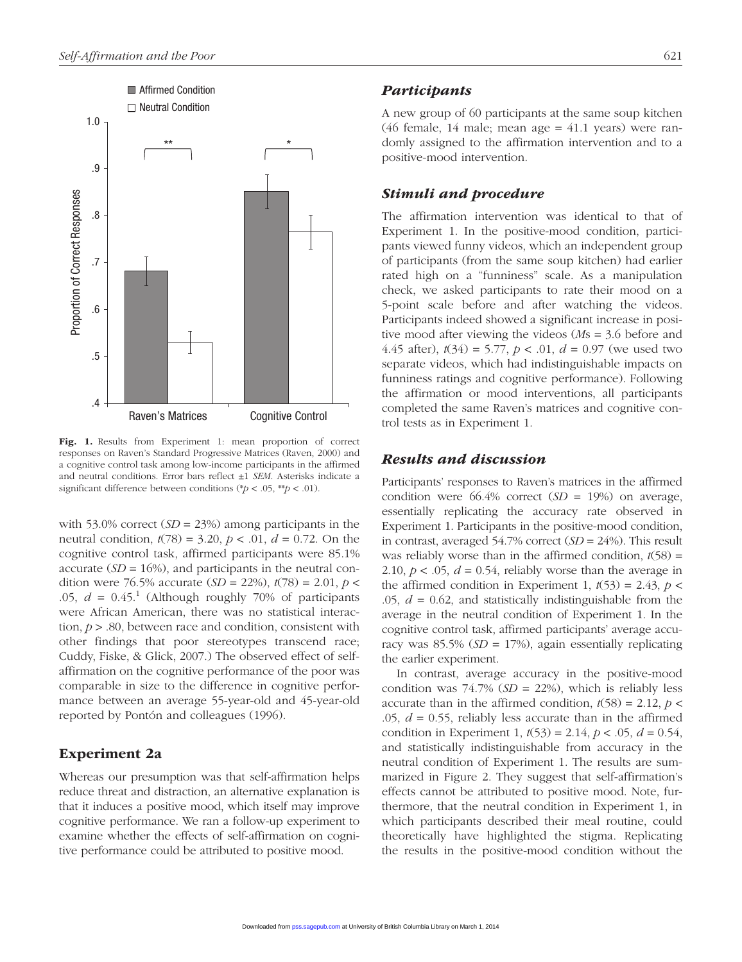

Fig. 1. Results from Experiment 1: mean proportion of correct responses on Raven's Standard Progressive Matrices (Raven, 2000) and a cognitive control task among low-income participants in the affirmed and neutral conditions. Error bars reflect ±1 *SEM*. Asterisks indicate a significant difference between conditions ( $p < .05$ ,  $*p < .01$ ).

with 53.0% correct (*SD* = 23%) among participants in the neutral condition, *t*(78) = 3.20, *p* < .01, *d* = 0.72. On the cognitive control task, affirmed participants were 85.1% accurate  $(SD = 16\%)$ , and participants in the neutral condition were 76.5% accurate (*SD* = 22%), *t*(78) = 2.01, *p* < .05,  $d = 0.45$ .<sup>1</sup> (Although roughly 70% of participants were African American, there was no statistical interaction, *p* > .80, between race and condition, consistent with other findings that poor stereotypes transcend race; Cuddy, Fiske, & Glick, 2007.) The observed effect of selfaffirmation on the cognitive performance of the poor was comparable in size to the difference in cognitive performance between an average 55-year-old and 45-year-old reported by Pontón and colleagues (1996).

#### Experiment 2a

Whereas our presumption was that self-affirmation helps reduce threat and distraction, an alternative explanation is that it induces a positive mood, which itself may improve cognitive performance. We ran a follow-up experiment to examine whether the effects of self-affirmation on cognitive performance could be attributed to positive mood.

#### *Participants*

A new group of 60 participants at the same soup kitchen (46 female, 14 male; mean age = 41.1 years) were randomly assigned to the affirmation intervention and to a positive-mood intervention.

#### *Stimuli and procedure*

The affirmation intervention was identical to that of Experiment 1. In the positive-mood condition, participants viewed funny videos, which an independent group of participants (from the same soup kitchen) had earlier rated high on a "funniness" scale. As a manipulation check, we asked participants to rate their mood on a 5-point scale before and after watching the videos. Participants indeed showed a significant increase in positive mood after viewing the videos (*M*s = 3.6 before and 4.45 after), *t*(34) = 5.77, *p* < .01, *d* = 0.97 (we used two separate videos, which had indistinguishable impacts on funniness ratings and cognitive performance). Following the affirmation or mood interventions, all participants completed the same Raven's matrices and cognitive control tests as in Experiment 1.

#### *Results and discussion*

Participants' responses to Raven's matrices in the affirmed condition were 66.4% correct (*SD* = 19%) on average, essentially replicating the accuracy rate observed in Experiment 1. Participants in the positive-mood condition, in contrast, averaged 54.7% correct (*SD* = 24%). This result was reliably worse than in the affirmed condition,  $t(58)$  = 2.10,  $p < .05$ ,  $d = 0.54$ , reliably worse than the average in the affirmed condition in Experiment 1,  $t(53) = 2.43$ ,  $p <$ .05, *d* = 0.62, and statistically indistinguishable from the average in the neutral condition of Experiment 1. In the cognitive control task, affirmed participants' average accuracy was 85.5% (*SD* = 17%), again essentially replicating the earlier experiment.

In contrast, average accuracy in the positive-mood condition was  $74.7\%$  (*SD* = 22%), which is reliably less accurate than in the affirmed condition,  $t(58) = 2.12$ ,  $p <$ .05, *d* = 0.55, reliably less accurate than in the affirmed condition in Experiment 1,  $t(53) = 2.14$ ,  $p < .05$ ,  $d = 0.54$ , and statistically indistinguishable from accuracy in the neutral condition of Experiment 1. The results are summarized in Figure 2. They suggest that self-affirmation's effects cannot be attributed to positive mood. Note, furthermore, that the neutral condition in Experiment 1, in which participants described their meal routine, could theoretically have highlighted the stigma. Replicating the results in the positive-mood condition without the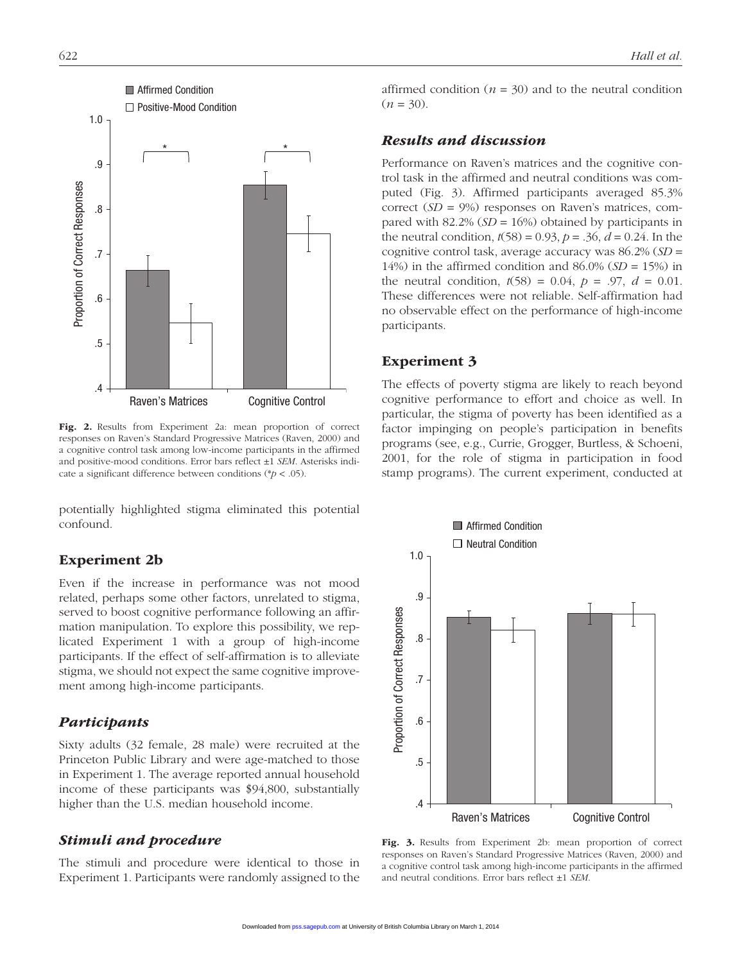

Fig. 2. Results from Experiment 2a: mean proportion of correct responses on Raven's Standard Progressive Matrices (Raven, 2000) and a cognitive control task among low-income participants in the affirmed and positive-mood conditions. Error bars reflect ±1 *SEM*. Asterisks indicate a significant difference between conditions (\**p* < .05).

potentially highlighted stigma eliminated this potential confound.

#### Experiment 2b

Even if the increase in performance was not mood related, perhaps some other factors, unrelated to stigma, served to boost cognitive performance following an affirmation manipulation. To explore this possibility, we replicated Experiment 1 with a group of high-income participants. If the effect of self-affirmation is to alleviate stigma, we should not expect the same cognitive improvement among high-income participants.

#### *Participants*

Sixty adults (32 female, 28 male) were recruited at the Princeton Public Library and were age-matched to those in Experiment 1. The average reported annual household income of these participants was \$94,800, substantially higher than the U.S. median household income.

#### *Stimuli and procedure*

The stimuli and procedure were identical to those in Experiment 1. Participants were randomly assigned to the affirmed condition ( $n = 30$ ) and to the neutral condition  $(n = 30)$ .

#### *Results and discussion*

Performance on Raven's matrices and the cognitive control task in the affirmed and neutral conditions was computed (Fig. 3). Affirmed participants averaged 85.3% correct (*SD* = 9%) responses on Raven's matrices, compared with 82.2% (*SD* = 16%) obtained by participants in the neutral condition,  $t(58) = 0.93$ ,  $p = 0.36$ ,  $d = 0.24$ . In the cognitive control task, average accuracy was 86.2% (*SD* = 14%) in the affirmed condition and  $86.0\%$  ( $SD = 15\%$ ) in the neutral condition,  $t(58) = 0.04$ ,  $p = .97$ ,  $d = 0.01$ . These differences were not reliable. Self-affirmation had no observable effect on the performance of high-income participants.

#### Experiment 3

The effects of poverty stigma are likely to reach beyond cognitive performance to effort and choice as well. In particular, the stigma of poverty has been identified as a factor impinging on people's participation in benefits programs (see, e.g., Currie, Grogger, Burtless, & Schoeni, 2001, for the role of stigma in participation in food stamp programs). The current experiment, conducted at



Fig. 3. Results from Experiment 2b: mean proportion of correct responses on Raven's Standard Progressive Matrices (Raven, 2000) and a cognitive control task among high-income participants in the affirmed and neutral conditions. Error bars reflect ±1 *SEM*.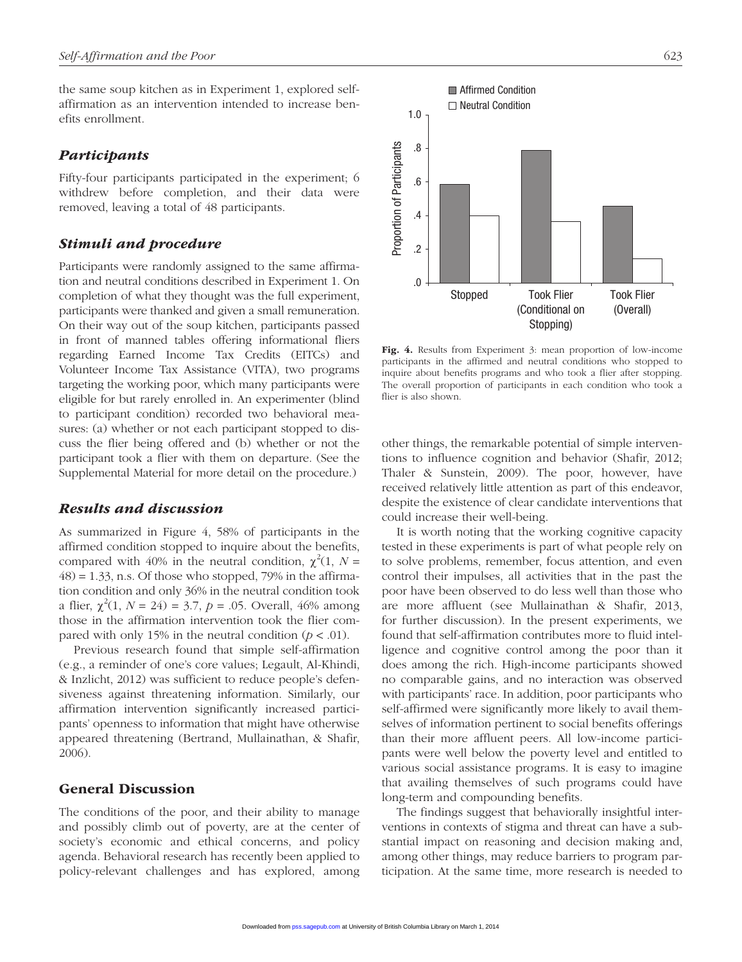the same soup kitchen as in Experiment 1, explored selfaffirmation as an intervention intended to increase benefits enrollment.

#### *Participants*

Fifty-four participants participated in the experiment; 6 withdrew before completion, and their data were removed, leaving a total of 48 participants.

#### *Stimuli and procedure*

Participants were randomly assigned to the same affirmation and neutral conditions described in Experiment 1. On completion of what they thought was the full experiment, participants were thanked and given a small remuneration. On their way out of the soup kitchen, participants passed in front of manned tables offering informational fliers regarding Earned Income Tax Credits (EITCs) and Volunteer Income Tax Assistance (VITA), two programs targeting the working poor, which many participants were eligible for but rarely enrolled in. An experimenter (blind to participant condition) recorded two behavioral measures: (a) whether or not each participant stopped to discuss the flier being offered and (b) whether or not the participant took a flier with them on departure. (See the Supplemental Material for more detail on the procedure.)

#### *Results and discussion*

As summarized in Figure 4, 58% of participants in the affirmed condition stopped to inquire about the benefits, compared with 40% in the neutral condition,  $\chi^2(1, N =$  $(48) = 1.33$ , n.s. Of those who stopped, 79% in the affirmation condition and only 36% in the neutral condition took a flier,  $\chi^2(1, N = 24) = 3.7, p = .05$ . Overall, 46% among those in the affirmation intervention took the flier compared with only 15% in the neutral condition (*p <* .01).

Previous research found that simple self-affirmation (e.g., a reminder of one's core values; Legault, Al-Khindi, & Inzlicht, 2012) was sufficient to reduce people's defensiveness against threatening information. Similarly, our affirmation intervention significantly increased participants' openness to information that might have otherwise appeared threatening (Bertrand, Mullainathan, & Shafir, 2006).

#### General Discussion

The conditions of the poor, and their ability to manage and possibly climb out of poverty, are at the center of society's economic and ethical concerns, and policy agenda. Behavioral research has recently been applied to policy-relevant challenges and has explored, among



Fig. 4. Results from Experiment 3: mean proportion of low-income participants in the affirmed and neutral conditions who stopped to inquire about benefits programs and who took a flier after stopping. The overall proportion of participants in each condition who took a flier is also shown.

other things, the remarkable potential of simple interventions to influence cognition and behavior (Shafir, 2012; Thaler & Sunstein, 2009). The poor, however, have received relatively little attention as part of this endeavor, despite the existence of clear candidate interventions that could increase their well-being.

It is worth noting that the working cognitive capacity tested in these experiments is part of what people rely on to solve problems, remember, focus attention, and even control their impulses, all activities that in the past the poor have been observed to do less well than those who are more affluent (see Mullainathan & Shafir, 2013, for further discussion). In the present experiments, we found that self-affirmation contributes more to fluid intelligence and cognitive control among the poor than it does among the rich. High-income participants showed no comparable gains, and no interaction was observed with participants' race. In addition, poor participants who self-affirmed were significantly more likely to avail themselves of information pertinent to social benefits offerings than their more affluent peers. All low-income participants were well below the poverty level and entitled to various social assistance programs. It is easy to imagine that availing themselves of such programs could have long-term and compounding benefits.

The findings suggest that behaviorally insightful interventions in contexts of stigma and threat can have a substantial impact on reasoning and decision making and, among other things, may reduce barriers to program participation. At the same time, more research is needed to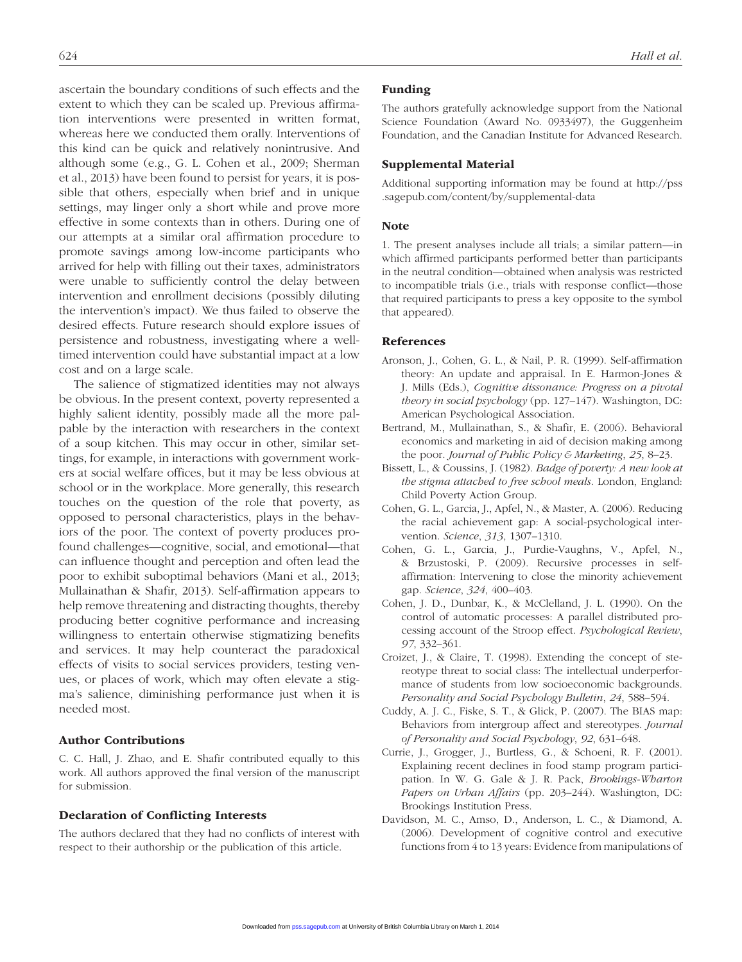ascertain the boundary conditions of such effects and the extent to which they can be scaled up. Previous affirmation interventions were presented in written format, whereas here we conducted them orally. Interventions of this kind can be quick and relatively nonintrusive. And although some (e.g., G. L. Cohen et al., 2009; Sherman et al., 2013) have been found to persist for years, it is possible that others, especially when brief and in unique settings, may linger only a short while and prove more effective in some contexts than in others. During one of our attempts at a similar oral affirmation procedure to promote savings among low-income participants who arrived for help with filling out their taxes, administrators were unable to sufficiently control the delay between intervention and enrollment decisions (possibly diluting the intervention's impact). We thus failed to observe the desired effects. Future research should explore issues of persistence and robustness, investigating where a welltimed intervention could have substantial impact at a low cost and on a large scale.

The salience of stigmatized identities may not always be obvious. In the present context, poverty represented a highly salient identity, possibly made all the more palpable by the interaction with researchers in the context of a soup kitchen. This may occur in other, similar settings, for example, in interactions with government workers at social welfare offices, but it may be less obvious at school or in the workplace. More generally, this research touches on the question of the role that poverty, as opposed to personal characteristics, plays in the behaviors of the poor. The context of poverty produces profound challenges—cognitive, social, and emotional—that can influence thought and perception and often lead the poor to exhibit suboptimal behaviors (Mani et al., 2013; Mullainathan & Shafir, 2013). Self-affirmation appears to help remove threatening and distracting thoughts, thereby producing better cognitive performance and increasing willingness to entertain otherwise stigmatizing benefits and services. It may help counteract the paradoxical effects of visits to social services providers, testing venues, or places of work, which may often elevate a stigma's salience, diminishing performance just when it is needed most.

#### Author Contributions

C. C. Hall, J. Zhao, and E. Shafir contributed equally to this work. All authors approved the final version of the manuscript for submission.

#### Declaration of Conflicting Interests

The authors declared that they had no conflicts of interest with respect to their authorship or the publication of this article.

#### Funding

The authors gratefully acknowledge support from the National Science Foundation (Award No. 0933497), the Guggenheim Foundation, and the Canadian Institute for Advanced Research.

#### Supplemental Material

[Additional supporting information may be found at http://pss](http://pss.sagepub.com/content/by/supplemental-data) .sagepub.com/content/by/supplemental-data

#### **Note**

1. The present analyses include all trials; a similar pattern—in which affirmed participants performed better than participants in the neutral condition—obtained when analysis was restricted to incompatible trials (i.e., trials with response conflict—those that required participants to press a key opposite to the symbol that appeared).

#### References

- Aronson, J., Cohen, G. L., & Nail, P. R. (1999). Self-affirmation theory: An update and appraisal. In E. Harmon-Jones & J. Mills (Eds.), *Cognitive dissonance: Progress on a pivotal theory in social psychology* (pp. 127–147). Washington, DC: American Psychological Association.
- Bertrand, M., Mullainathan, S., & Shafir, E. (2006). Behavioral economics and marketing in aid of decision making among the poor. *Journal of Public Policy & Marketing*, *25*, 8–23.
- Bissett, L., & Coussins, J. (1982). *Badge of poverty: A new look at the stigma attached to free school meals*. London, England: Child Poverty Action Group.
- Cohen, G. L., Garcia, J., Apfel, N., & Master, A. (2006). Reducing the racial achievement gap: A social-psychological intervention. *Science*, *313*, 1307–1310.
- Cohen, G. L., Garcia, J., Purdie-Vaughns, V., Apfel, N., & Brzustoski, P. (2009). Recursive processes in selfaffirmation: Intervening to close the minority achievement gap. *Science*, *324*, 400–403.
- Cohen, J. D., Dunbar, K., & McClelland, J. L. (1990). On the control of automatic processes: A parallel distributed processing account of the Stroop effect. *Psychological Review*, *97*, 332–361.
- Croizet, J., & Claire, T. (1998). Extending the concept of stereotype threat to social class: The intellectual underperformance of students from low socioeconomic backgrounds. *Personality and Social Psychology Bulletin*, *24*, 588–594.
- Cuddy, A. J. C., Fiske, S. T., & Glick, P. (2007). The BIAS map: Behaviors from intergroup affect and stereotypes. *Journal of Personality and Social Psychology*, *92*, 631–648.
- Currie, J., Grogger, J., Burtless, G., & Schoeni, R. F. (2001). Explaining recent declines in food stamp program participation. In W. G. Gale & J. R. Pack, *Brookings-Wharton Papers on Urban Affairs* (pp. 203–244). Washington, DC: Brookings Institution Press.
- Davidson, M. C., Amso, D., Anderson, L. C., & Diamond, A. (2006). Development of cognitive control and executive functions from 4 to 13 years: Evidence from manipulations of